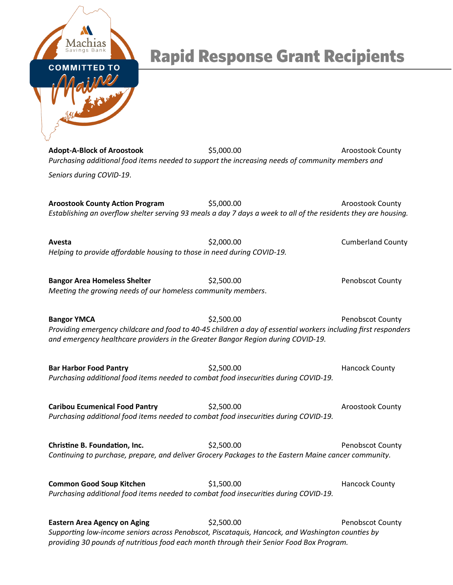

## **Rapid Response Grant Recipients**

**Adopt-A-Block of Aroostook** \$5,000.00 \$5,000.00 Aroostook County *Purchasing additional food items needed to support the increasing needs of community members and* 

*Seniors during COVID-19*.

**Aroostook County Action Program**  $$5,000.00$  **Aroostook County Aroostook County** *Establishing an overflow shelter serving 93 meals a day 7 days a week to all of the residents they are housing.*

Avesta **1988** Cumberland County (32,000.00 Cumberland County *Helping to provide affordable housing to those in need during COVID-19.*

**Bangor Area Homeless Shelter**  $$2,500.00$   $$9,500.00$  Penobscot County *Meeting the growing needs of our homeless community members*.

**Bangor YMCA**  $\text{S2,500.00}$   $\text{S2,500.00}$  Penobscot County *Providing emergency childcare and food to 40-45 children a day of essential workers including first responders and emergency healthcare providers in the Greater Bangor Region during COVID-19.*

**Bar Harbor Food Pantry <b>Example 2** S2,500.00 **Hancock County** Hancock County *Purchasing additional food items needed to combat food insecurities during COVID-19.*

**Caribou Ecumenical Food Pantry**  $\text{S2},500.00$  **Aroostook County Aroostook County** *Purchasing additional food items needed to combat food insecurities during COVID-19.*

**Christine B. Foundation, Inc.**  $\text{S2,500.00}$  **Penobscot County** *Continuing to purchase, prepare, and deliver Grocery Packages to the Eastern Maine cancer community.*

**Common Good Soup Kitchen**  $$1,500.00$   $$1,500.00$  Hancock County *Purchasing additional food items needed to combat food insecurities during COVID-19.*

**Eastern Area Agency on Aging <b>Eastern Area Agency on Aging** \$2,500.00 Penobscot County *Supporting low-income seniors across Penobscot, Piscataquis, Hancock, and Washington counties by providing 30 pounds of nutritious food each month through their Senior Food Box Program.*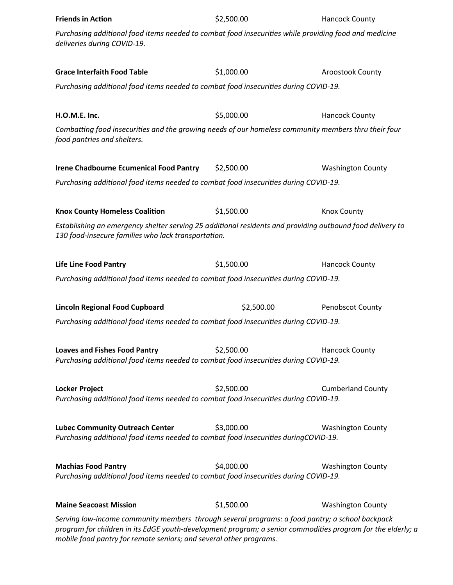| <b>Friends in Action</b>                                                                                                                                                                                                                                                             | \$2,500.00 | <b>Hancock County</b>    |  |  |
|--------------------------------------------------------------------------------------------------------------------------------------------------------------------------------------------------------------------------------------------------------------------------------------|------------|--------------------------|--|--|
| Purchasing additional food items needed to combat food insecurities while providing food and medicine<br>deliveries during COVID-19.                                                                                                                                                 |            |                          |  |  |
| <b>Grace Interfaith Food Table</b>                                                                                                                                                                                                                                                   | \$1,000.00 | Aroostook County         |  |  |
| Purchasing additional food items needed to combat food insecurities during COVID-19.                                                                                                                                                                                                 |            |                          |  |  |
| H.O.M.E. Inc.                                                                                                                                                                                                                                                                        | \$5,000.00 | <b>Hancock County</b>    |  |  |
| Combatting food insecurities and the growing needs of our homeless community members thru their four<br>food pantries and shelters.                                                                                                                                                  |            |                          |  |  |
| <b>Irene Chadbourne Ecumenical Food Pantry</b>                                                                                                                                                                                                                                       | \$2,500.00 | <b>Washington County</b> |  |  |
| Purchasing additional food items needed to combat food insecurities during COVID-19.                                                                                                                                                                                                 |            |                          |  |  |
| <b>Knox County Homeless Coalition</b>                                                                                                                                                                                                                                                | \$1,500.00 | <b>Knox County</b>       |  |  |
| Establishing an emergency shelter serving 25 additional residents and providing outbound food delivery to<br>130 food-insecure families who lack transportation.                                                                                                                     |            |                          |  |  |
| <b>Life Line Food Pantry</b>                                                                                                                                                                                                                                                         | \$1,500.00 | <b>Hancock County</b>    |  |  |
| Purchasing additional food items needed to combat food insecurities during COVID-19.                                                                                                                                                                                                 |            |                          |  |  |
| <b>Lincoln Regional Food Cupboard</b>                                                                                                                                                                                                                                                | \$2,500.00 | Penobscot County         |  |  |
| Purchasing additional food items needed to combat food insecurities during COVID-19.                                                                                                                                                                                                 |            |                          |  |  |
| <b>Loaves and Fishes Food Pantry</b><br>Purchasing additional food items needed to combat food insecurities during COVID-19.                                                                                                                                                         | \$2,500.00 | <b>Hancock County</b>    |  |  |
| <b>Locker Project</b><br>Purchasing additional food items needed to combat food insecurities during COVID-19.                                                                                                                                                                        | \$2,500.00 | <b>Cumberland County</b> |  |  |
| <b>Lubec Community Outreach Center</b><br>Purchasing additional food items needed to combat food insecurities duringCOVID-19.                                                                                                                                                        | \$3,000.00 | <b>Washington County</b> |  |  |
| <b>Machias Food Pantry</b><br>\$4,000.00<br><b>Washington County</b><br>Purchasing additional food items needed to combat food insecurities during COVID-19.                                                                                                                         |            |                          |  |  |
| <b>Maine Seacoast Mission</b>                                                                                                                                                                                                                                                        | \$1,500.00 | <b>Washington County</b> |  |  |
| Serving low-income community members through several programs: a food pantry; a school backpack<br>program for children in its EdGE youth-development program; a senior commodities program for the elderly; a<br>mobile food pantry for remote seniors; and several other programs. |            |                          |  |  |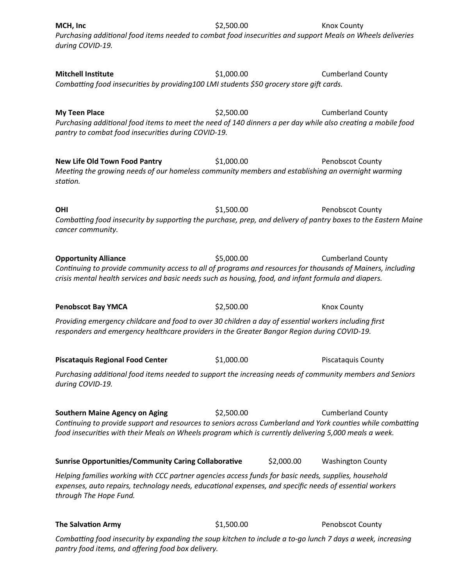| MCH, Inc<br>Purchasing additional food items needed to combat food insecurities and support Meals on Wheels deliveries<br>during COVID-19.                                                                                                                                                               | \$2,500.00 |            | <b>Knox County</b>        |  |  |
|----------------------------------------------------------------------------------------------------------------------------------------------------------------------------------------------------------------------------------------------------------------------------------------------------------|------------|------------|---------------------------|--|--|
| <b>Mitchell Institute</b><br>Combatting food insecurities by providing100 LMI students \$50 grocery store gift cards.                                                                                                                                                                                    | \$1,000.00 |            | <b>Cumberland County</b>  |  |  |
| <b>My Teen Place</b><br>Purchasing additional food items to meet the need of 140 dinners a per day while also creating a mobile food<br>pantry to combat food insecurities during COVID-19.                                                                                                              | \$2,500.00 |            | <b>Cumberland County</b>  |  |  |
| <b>New Life Old Town Food Pantry</b><br>Meeting the growing needs of our homeless community members and establishing an overnight warming<br>station.                                                                                                                                                    | \$1,000.00 |            | <b>Penobscot County</b>   |  |  |
| <b>OHI</b><br>Combatting food insecurity by supporting the purchase, prep, and delivery of pantry boxes to the Eastern Maine<br>cancer community.                                                                                                                                                        | \$1,500.00 |            | Penobscot County          |  |  |
| <b>Opportunity Alliance</b><br>Continuing to provide community access to all of programs and resources for thousands of Mainers, including<br>crisis mental health services and basic needs such as housing, food, and infant formula and diapers.                                                       | \$5,000.00 |            | <b>Cumberland County</b>  |  |  |
| <b>Penobscot Bay YMCA</b>                                                                                                                                                                                                                                                                                | \$2,500.00 |            | <b>Knox County</b>        |  |  |
| Providing emergency childcare and food to over 30 children a day of essential workers including first<br>responders and emergency healthcare providers in the Greater Bangor Region during COVID-19.                                                                                                     |            |            |                           |  |  |
| <b>Piscataquis Regional Food Center</b>                                                                                                                                                                                                                                                                  | \$1,000.00 |            | <b>Piscataquis County</b> |  |  |
| Purchasing additional food items needed to support the increasing needs of community members and Seniors<br>during COVID-19.                                                                                                                                                                             |            |            |                           |  |  |
| <b>Southern Maine Agency on Aging</b><br>\$2,500.00<br><b>Cumberland County</b><br>Continuing to provide support and resources to seniors across Cumberland and York counties while combatting<br>food insecurities with their Meals on Wheels program which is currently delivering 5,000 meals a week. |            |            |                           |  |  |
| <b>Sunrise Opportunities/Community Caring Collaborative</b>                                                                                                                                                                                                                                              |            | \$2,000.00 | <b>Washington County</b>  |  |  |
| Helping families working with CCC partner agencies access funds for basic needs, supplies, household<br>expenses, auto repairs, technology needs, educational expenses, and specific needs of essential workers<br>through The Hope Fund.                                                                |            |            |                           |  |  |
| <b>The Salvation Army</b>                                                                                                                                                                                                                                                                                | \$1,500.00 |            | Penobscot County          |  |  |

*Combatting food insecurity by expanding the soup kitchen to include a to-go lunch 7 days a week, increasing pantry food items, and offering food box delivery.*